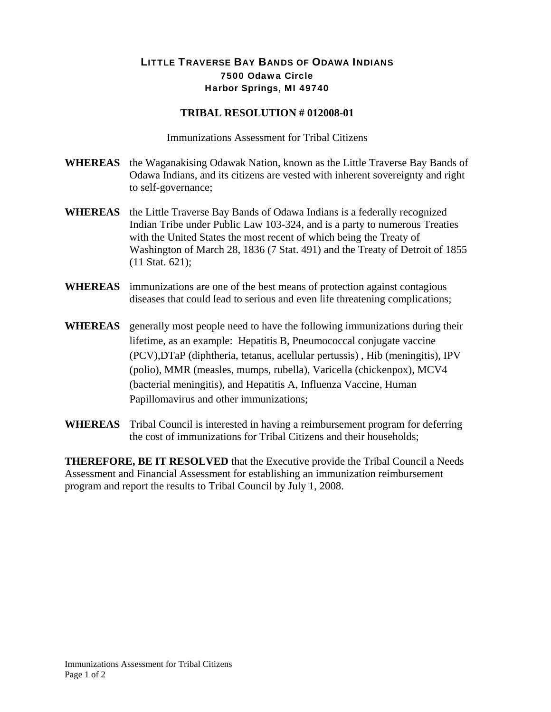## LITTLE TRAVERSE BAY BANDS OF ODAWA INDIANS 7500 Odawa Circle Harbor Springs, MI 49740

## **TRIBAL RESOLUTION # 012008-01**

Immunizations Assessment for Tribal Citizens

- **WHEREAS** the Waganakising Odawak Nation, known as the Little Traverse Bay Bands of Odawa Indians, and its citizens are vested with inherent sovereignty and right to self-governance;
- **WHEREAS** the Little Traverse Bay Bands of Odawa Indians is a federally recognized Indian Tribe under Public Law 103-324, and is a party to numerous Treaties with the United States the most recent of which being the Treaty of Washington of March 28, 1836 (7 Stat. 491) and the Treaty of Detroit of 1855 (11 Stat. 621);
- **WHEREAS** immunizations are one of the best means of protection against contagious diseases that could lead to serious and even life threatening complications;
- **WHEREAS** generally most people need to have the following immunizations during their lifetime, as an example: [Hepatitis B,](http://www.kidshealth.org/parent/general/body/vaccine.html#HepatitisB#HepatitisB) [Pneumococcal conjugate vaccine](http://www.kidshealth.org/parent/general/body/vaccine.html#PneumococcalVaccinePCV#PneumococcalVaccinePCV)  [\(PCV\)](http://www.kidshealth.org/parent/general/body/vaccine.html#PneumococcalVaccinePCV#PneumococcalVaccinePCV)[,DTaP \(diphtheria, tetanus, acellular pertussis\)](http://www.kidshealth.org/parent/general/body/vaccine.html#DTaP#DTaP) , [Hib \(meningitis\),](http://www.kidshealth.org/parent/general/body/vaccine.html#Hib#Hib) [IPV](http://www.kidshealth.org/parent/general/body/vaccine.html#IPV#IPV)  [\(polio\),](http://www.kidshealth.org/parent/general/body/vaccine.html#IPV#IPV) [MMR \(measles, mumps, rubella\),](http://www.kidshealth.org/parent/general/body/vaccine.html#MMR#MMR) [Varicella \(chickenpox\),](http://www.kidshealth.org/parent/general/body/vaccine.html#Varicella#Varicella) [MCV4](http://www.kidshealth.org/parent/general/body/vaccine.html#MCV4#MCV4)  [\(bacterial meningitis\),](http://www.kidshealth.org/parent/general/body/vaccine.html#MCV4#MCV4) and [Hepatitis A](http://www.kidshealth.org/parent/general/body/vaccine.html#HepA#HepA), Influenza Vaccine, Human Papillomavirus and other immunizations;
- **WHEREAS** Tribal Council is interested in having a reimbursement program for deferring the cost of immunizations for Tribal Citizens and their households;

**THEREFORE, BE IT RESOLVED** that the Executive provide the Tribal Council a Needs Assessment and Financial Assessment for establishing an immunization reimbursement program and report the results to Tribal Council by July 1, 2008.